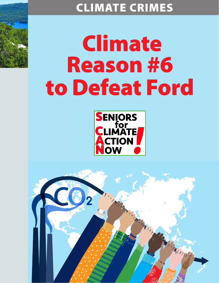# CLIMATE CRIMES

# Climate Reason #6 to Defeat Ford



Marian

Thompson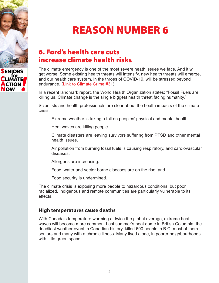

# REASON NUMBER 6

## 6. Ford's health care cuts increase climate health risks

The climate emergency is one of the most severe heath issues we face. And it will get worse. Some existing health threats will intensify, new health threats will emerge, and our health care system, in the throes of COVID-19, will be stressed beyond endurance. [\(Link to Climate Crime #31\)](https://seniorsforclimateactionnow.org/wp-content/uploads/2022/04/SCAN-Climate-Crime-31-2022-04-08.pdf) 

In a recent landmark report, the World Health Organization states: "Fossil Fuels are killing us. Climate change is the single biggest health threat facing humanity."

Scientists and health professionals are clear about the health impacts of the climate crisis:

Extreme weather is taking a toll on peoples' physical and mental health.

Heat waves are killing people.

 Climate disasters are leaving survivors suffering from PTSD and other mental health issues.

 Air pollution from burning fossil fuels is causing respiratory, and cardiovascular diseases.

Allergens are increasing.

Food, water and vector borne diseases are on the rise, and

Food security is undermined.

The climate crisis is exposing more people to hazardous conditions, but poor, racialized, Indigenous and remote communities are particularly vulnerable to its effects.

### **High temperatures cause deaths**

With Canada's temperature warming at twice the global average, extreme heat waves will become more common. Last summer's heat dome in British Columbia, the deadliest weather event in Canadian history, killed 600 people in B.C. most of them seniors and many with a chronic illness. Many lived alone, in poorer neighbourhoods with little green space.